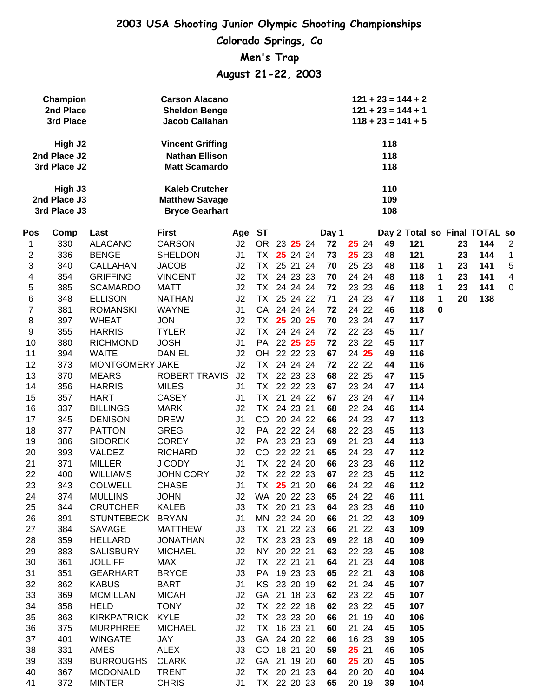**Colorado Springs, Co**

**Men's Trap**

**August 21-22, 2003**

|          | Champion<br>2nd Place<br>3rd Place<br>High J2<br>2nd Place J2 |                                  |                                                                         |                |                        |                      |          | $121 + 23 = 144 + 2$<br>$121 + 23 = 144 + 1$<br>$118 + 23 = 141 + 5$<br>118<br>118 |                   |            |          |          |                                      |                                |
|----------|---------------------------------------------------------------|----------------------------------|-------------------------------------------------------------------------|----------------|------------------------|----------------------|----------|------------------------------------------------------------------------------------|-------------------|------------|----------|----------|--------------------------------------|--------------------------------|
|          | 3rd Place J2                                                  |                                  | <b>Nathan Ellison</b><br><b>Matt Scamardo</b>                           |                |                        |                      |          |                                                                                    | 118               |            |          |          |                                      |                                |
|          | High J3<br>2nd Place J3<br>3rd Place J3                       |                                  | <b>Kaleb Crutcher</b><br><b>Matthew Savage</b><br><b>Bryce Gearhart</b> |                |                        |                      |          |                                                                                    | 110<br>109<br>108 |            |          |          |                                      |                                |
| Pos      | Comp                                                          | Last                             | <b>First</b>                                                            | Age ST<br>J2   |                        | OR 23 25 24          | Day 1    |                                                                                    |                   |            |          |          | Day 2 Total so Final TOTAL so<br>144 |                                |
| 1<br>2   | 330<br>336                                                    | <b>ALACANO</b><br><b>BENGE</b>   | CARSON<br><b>SHELDON</b>                                                | J <sub>1</sub> | TX                     | 25 24 24             | 72<br>73 | 25 24<br>25 23                                                                     | 49<br>48          | 121<br>121 |          | 23<br>23 | 144                                  | $\overline{2}$<br>$\mathbf{1}$ |
| 3        | 340                                                           | CALLAHAN                         | <b>JACOB</b>                                                            | J2             | <b>TX</b>              | 25 21 24             | 70       | 25 23                                                                              | 48                | 118        | 1        | 23       | 141                                  | 5                              |
| 4        | 354                                                           | <b>GRIFFING</b>                  | <b>VINCENT</b>                                                          | J2             | <b>TX</b>              | 24 23 23             | 70       | 24 24                                                                              | 48                | 118        | 1        | 23       | 141                                  | 4                              |
| 5        | 385                                                           | <b>SCAMARDO</b>                  | <b>MATT</b>                                                             | J2             | TX                     | 24 24 24             | 72       | 23 23                                                                              | 46                | 118        | 1        | 23       | 141                                  | 0                              |
| 6        | 348                                                           | <b>ELLISON</b>                   | <b>NATHAN</b>                                                           | J2             | <b>TX</b>              | 25 24 22             | 71       | 24 23                                                                              | 47                | 118        | 1        | 20       | 138                                  |                                |
| 7        | 381                                                           | <b>ROMANSKI</b>                  | <b>WAYNE</b>                                                            | J <sub>1</sub> | CA                     | 24 24 24             | 72       | 24 22                                                                              | 46                | 118        | $\bf{0}$ |          |                                      |                                |
| 8        | 397                                                           | <b>WHEAT</b>                     | <b>JON</b>                                                              | J2             | TX                     | 25 20 25             | 70       | 23 24                                                                              | 47                | 117        |          |          |                                      |                                |
| 9        | 355                                                           | <b>HARRIS</b>                    | <b>TYLER</b>                                                            | J2             | <b>TX</b>              | 24 24 24             | 72       | 22 23                                                                              | 45                | 117        |          |          |                                      |                                |
| 10       | 380                                                           | <b>RICHMOND</b>                  | <b>JOSH</b>                                                             | J <sub>1</sub> | PA                     | 22 25 25             | 72       | 23 22                                                                              | 45                | 117        |          |          |                                      |                                |
| 11       | 394                                                           | <b>WAITE</b>                     | <b>DANIEL</b>                                                           | J2             | OH                     | 22 22 23             | 67       | 24 25                                                                              | 49                | 116        |          |          |                                      |                                |
| 12       | 373                                                           | MONTGOMERY JAKE                  |                                                                         | J2             | <b>TX</b>              | 24 24 24             | 72       | 22 22                                                                              | 44                | 116        |          |          |                                      |                                |
| 13       | 370                                                           | <b>MEARS</b>                     | <b>ROBERT TRAVIS</b>                                                    | J <sub>2</sub> | <b>TX</b>              | 22 23 23             | 68       | 22 25                                                                              | 47                | 115        |          |          |                                      |                                |
| 14       | 356                                                           | <b>HARRIS</b>                    | <b>MILES</b>                                                            | J <sub>1</sub> | <b>TX</b>              | 22 22 23             | 67       | 23 24                                                                              | 47                | 114        |          |          |                                      |                                |
| 15       | 357                                                           | <b>HART</b>                      | <b>CASEY</b>                                                            | J <sub>1</sub> | <b>TX</b>              | 21 24 22             | 67       | 23 24                                                                              | 47                | 114        |          |          |                                      |                                |
| 16       | 337                                                           | <b>BILLINGS</b>                  | <b>MARK</b>                                                             | J <sub>2</sub> | TX                     | 24 23 21             | 68       | 22 24                                                                              | 46                | 114        |          |          |                                      |                                |
| 17       | 345                                                           | <b>DENISON</b>                   | <b>DREW</b>                                                             | J <sub>1</sub> | CO                     | 20 24 22             | 66       | 24 23                                                                              | 47                | 113        |          |          |                                      |                                |
| 18       | 377                                                           | <b>PATTON</b>                    | <b>GREG</b>                                                             | J2             | PA                     | 22 22 24             | 68       | 22 23                                                                              | 45                | 113        |          |          |                                      |                                |
| 19       | 386                                                           | <b>SIDOREK</b>                   | <b>COREY</b>                                                            | J2             | PA                     | 23 23 23             | 69       | 21 23                                                                              | 44                | 113        |          |          |                                      |                                |
| 20       | 393                                                           | VALDEZ                           | <b>RICHARD</b>                                                          | J2             | CO                     | 22 22 21             | 65       | 24 23                                                                              | 47                | 112        |          |          |                                      |                                |
| 21       | 371                                                           | <b>MILLER</b><br><b>WILLIAMS</b> | J CODY                                                                  | J <sub>1</sub> | TX                     | 22 24 20<br>22 22 23 | 66       | 23 23                                                                              | 46<br>45          | 112        |          |          |                                      |                                |
| 22<br>23 | 400<br>343                                                    | <b>COLWELL</b>                   | <b>JOHN CORY</b><br><b>CHASE</b>                                        | J2<br>J1       | <b>TX</b><br><b>TX</b> | 25 21 20             | 67<br>66 | 22 23<br>24 22                                                                     | 46                | 112<br>112 |          |          |                                      |                                |
| 24       | 374                                                           | <b>MULLINS</b>                   | <b>JOHN</b>                                                             | J2             |                        | WA 20 22 23          | 65       | 24 22                                                                              | 46                | 111        |          |          |                                      |                                |
| 25       | 344                                                           | <b>CRUTCHER</b>                  | <b>KALEB</b>                                                            | J3             |                        | TX 20 21 23          | 64       | 23 23                                                                              | 46                | 110        |          |          |                                      |                                |
| 26       | 391                                                           | STUNTEBECK BRYAN                 |                                                                         | J1             |                        | MN 22 24 20          | 66       | 21 22                                                                              | 43                | 109        |          |          |                                      |                                |
| 27       | 384                                                           | SAVAGE                           | <b>MATTHEW</b>                                                          | J3             |                        | TX 21 22 23          | 66       | 21 22                                                                              | 43                | 109        |          |          |                                      |                                |
| 28       | 359                                                           | <b>HELLARD</b>                   | <b>JONATHAN</b>                                                         | J2             |                        | TX 23 23 23          | 69       | 22 18                                                                              | 40                | 109        |          |          |                                      |                                |
| 29       | 383                                                           | <b>SALISBURY</b>                 | <b>MICHAEL</b>                                                          | J2             | NY 1                   | 20 22 21             | 63       | 22 23                                                                              | 45                | 108        |          |          |                                      |                                |
| 30       | 361                                                           | <b>JOLLIFF</b>                   | <b>MAX</b>                                                              | J2             |                        | TX 22 21 21          | 64       | 21 23                                                                              | 44                | 108        |          |          |                                      |                                |
| 31       | 351                                                           | <b>GEARHART</b>                  | <b>BRYCE</b>                                                            | J3             | PA                     | 19 23 23             | 65       | 22 21                                                                              | 43                | 108        |          |          |                                      |                                |
| 32       | 362                                                           | <b>KABUS</b>                     | <b>BART</b>                                                             | J1             |                        | KS 23 20 19          | 62       | 21 24                                                                              | 45                | 107        |          |          |                                      |                                |
| 33       | 369                                                           | <b>MCMILLAN</b>                  | <b>MICAH</b>                                                            | J2             |                        | GA 21 18 23          | 62       | 23 22                                                                              | 45                | 107        |          |          |                                      |                                |
| 34       | 358                                                           | <b>HELD</b>                      | <b>TONY</b>                                                             | J2             |                        | TX 22 22 18          | 62       | 23 22                                                                              | 45                | 107        |          |          |                                      |                                |
| 35       | 363                                                           | KIRKPATRICK KYLE                 |                                                                         | J2             |                        | TX 23 23 20          | 66       | 21 19                                                                              | 40                | 106        |          |          |                                      |                                |
| 36       | 375                                                           | <b>MURPHREE</b>                  | <b>MICHAEL</b>                                                          | J2             |                        | TX 16 23 21          | 60       | 21 24                                                                              | 45                | 105        |          |          |                                      |                                |
| 37       | 401                                                           | <b>WINGATE</b>                   | JAY                                                                     | J3             |                        | GA 24 20 22          | 66       | 16 23                                                                              | 39                | 105        |          |          |                                      |                                |
| 38       | 331                                                           | AMES                             | <b>ALEX</b>                                                             | J3             |                        | CO 18 21 20          | 59       | 25 21                                                                              | 46                | 105        |          |          |                                      |                                |
| 39       | 339                                                           | <b>BURROUGHS</b>                 | <b>CLARK</b>                                                            | J2             |                        | GA 21 19 20          | 60       | 25 20                                                                              | 45                | 105        |          |          |                                      |                                |
| 40       | 367                                                           | <b>MCDONALD</b>                  | <b>TRENT</b>                                                            | J2             |                        | TX 20 21 23          | 64       | 20 20                                                                              | 40                | 104        |          |          |                                      |                                |
| 41       | 372                                                           | <b>MINTER</b>                    | <b>CHRIS</b>                                                            | J1             |                        | TX 22 20 23          | 65       | 20 19                                                                              | 39                | 104        |          |          |                                      |                                |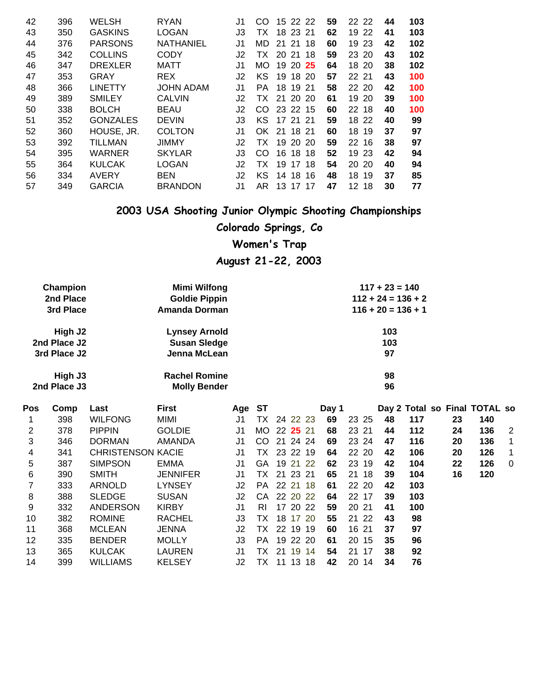| 42 | 396 | WELSH           | <b>RYAN</b>      | J1 | CO        | 15 22 22         | 59 | 22 22     | 44 | 103 |
|----|-----|-----------------|------------------|----|-----------|------------------|----|-----------|----|-----|
| 43 | 350 | <b>GASKINS</b>  | <b>LOGAN</b>     | J3 | тх        | 18 23 21         | 62 | 19<br>22  | 41 | 103 |
| 44 | 376 | <b>PARSONS</b>  | <b>NATHANIEL</b> | J1 | MD        | 21<br>-21<br>-18 | 60 | 19 23     | 42 | 102 |
| 45 | 342 | <b>COLLINS</b>  | <b>CODY</b>      | J2 | ТX        | 20<br>21<br>-18  | 59 | 23 20     | 43 | 102 |
| 46 | 347 | <b>DREXLER</b>  | <b>MATT</b>      | J1 | <b>MO</b> | 19<br>20 25      | 64 | 18 20     | 38 | 102 |
| 47 | 353 | GRAY            | <b>REX</b>       | J2 | <b>KS</b> | 19 18 20         | 57 | 22 21     | 43 | 100 |
| 48 | 366 | <b>LINETTY</b>  | <b>JOHN ADAM</b> | J1 | <b>PA</b> | 18 19 21         | 58 | 22 20     | 42 | 100 |
| 49 | 389 | <b>SMILEY</b>   | <b>CALVIN</b>    | J2 | ТX        | 21 20 20         | 61 | 19<br>-20 | 39 | 100 |
| 50 | 338 | <b>BOLCH</b>    | <b>BEAU</b>      | J2 | CO.       | 23 22 15         | 60 | 22 18     | 40 | 100 |
| 51 | 352 | <b>GONZALES</b> | <b>DEVIN</b>     | J3 | KS.       | 17 21 21         | 59 | 18 22     | 40 | 99  |
| 52 | 360 | HOUSE, JR.      | <b>COLTON</b>    | J1 | OK.       | 21 18 21         | 60 | 18 19     | 37 | 97  |
| 53 | 392 | <b>TILLMAN</b>  | <b>JIMMY</b>     | J2 | TX.       | 19 20 20         | 59 | 22 16     | 38 | 97  |
| 54 | 395 | WARNER          | <b>SKYLAR</b>    | J3 | CO        | 16<br>18 18      | 52 | 19<br>-23 | 42 | 94  |
| 55 | 364 | <b>KULCAK</b>   | <b>LOGAN</b>     | J2 | ТX        | 19<br>17 18      | 54 | 20 20     | 40 | 94  |
| 56 | 334 | <b>AVERY</b>    | <b>BEN</b>       | J2 | <b>KS</b> | 14 18<br>16      | 48 | 18 19     | 37 | 85  |
| 57 | 349 | <b>GARCIA</b>   | <b>BRANDON</b>   | J1 | AR.       | 13<br>17<br>17   | 47 | 12<br>18  | 30 | 77  |
|    |     |                 |                  |    |           |                  |    |           |    |     |

#### **Colorado Springs, Co**

#### **Women's Trap**

**August 21-22, 2003**

| Champion            | Mimi Wilfong         | $117 + 23 = 140$     |
|---------------------|----------------------|----------------------|
| 2nd Place           | <b>Goldie Pippin</b> | $112 + 24 = 136 + 2$ |
| 3rd Place           | Amanda Dorman        | $116 + 20 = 136 + 1$ |
| High J <sub>2</sub> | <b>Lynsey Arnold</b> | 103                  |
| 2nd Place J2        | <b>Susan Sledge</b>  | 103                  |
| 3rd Place J2        | Jenna McLean         | 97                   |
| High J3             | <b>Rachel Romine</b> | 98                   |
| 2nd Place J3        | <b>Molly Bender</b>  | 96                   |

| Pos | Comp | Last                     | <b>First</b>    | Age | SТ          |          |          |     | Day 1 |       |       |    | Day 2 Total so Final TOTAL so |    |     |          |
|-----|------|--------------------------|-----------------|-----|-------------|----------|----------|-----|-------|-------|-------|----|-------------------------------|----|-----|----------|
|     | 398  | <b>WILFONG</b>           | MIMI            | J1  | TX.         |          | 24 22 23 |     | 69    |       | 23 25 | 48 | 117                           | 23 | 140 |          |
| 2   | 378  | <b>PIPPIN</b>            | <b>GOLDIE</b>   | J1  | MO 22 25 21 |          |          |     | 68    | 23 21 |       | 44 | 112                           | 24 | 136 | -2       |
| 3   | 346  | <b>DORMAN</b>            | AMANDA          | J1  | CO.         | 21 24 24 |          |     | 69    |       | 23 24 | 47 | 116                           | 20 | 136 | 1        |
| 4   | 341  | <b>CHRISTENSON KACIE</b> |                 | J1  | TX.         | 23 22 19 |          |     | 64    |       | 22 20 | 42 | 106                           | 20 | 126 | -1       |
| 5   | 387  | <b>SIMPSON</b>           | <b>EMMA</b>     | J1  | GA.         | 19 21    |          | -22 | 62    |       | 23 19 | 42 | 104                           | 22 | 126 | $\Omega$ |
| 6   | 390  | <b>SMITH</b>             | <b>JENNIFER</b> | J1  | TX.         |          | 21 23 21 |     | 65    |       | 21 18 | 39 | 104                           | 16 | 120 |          |
|     | 333  | ARNOLD                   | <b>LYNSEY</b>   | J2  | PA.         | 22 21    |          | -18 | 61    |       | 22 20 | 42 | 103                           |    |     |          |
| 8   | 388  | <b>SLEDGE</b>            | <b>SUSAN</b>    | J2  | CA.         | 22 20 22 |          |     | 64    |       | 22 17 | 39 | 103                           |    |     |          |
| 9   | 332  | ANDERSON                 | <b>KIRBY</b>    | J1  | RI          |          | 17 20 22 |     | 59    | 20 21 |       | 41 | 100                           |    |     |          |
| 10  | 382  | <b>ROMINE</b>            | <b>RACHEL</b>   | J3  | TX.         |          | 18 17 20 |     | 55    |       | 21 22 | 43 | 98                            |    |     |          |
| 11  | 368  | <b>MCLEAN</b>            | <b>JENNA</b>    | J2. | TX.         | 22 19 19 |          |     | 60    |       | 16 21 | 37 | 97                            |    |     |          |
| 12  | 335  | <b>BENDER</b>            | <b>MOLLY</b>    | J3  | PA.         |          | 19 22 20 |     | 61    |       | 20 15 | 35 | 96                            |    |     |          |
| 13  | 365  | <b>KULCAK</b>            | <b>LAUREN</b>   | J1  | TX.         | 21 19 14 |          |     | 54    |       | 21 17 | 38 | 92                            |    |     |          |
| 14  | 399  | <b>WILLIAMS</b>          | <b>KELSEY</b>   | J2  | TX          | 11 13 18 |          |     | 42    | 20    | 14    | 34 | 76                            |    |     |          |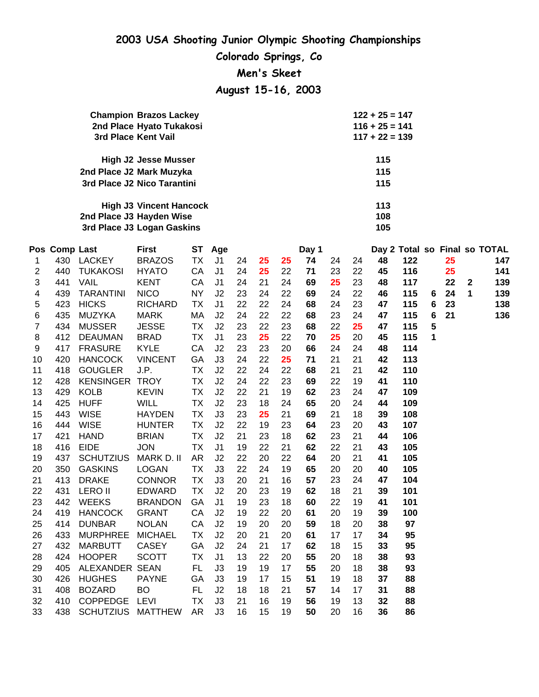## **2003 USA Shooting Junior Olympic Shooting Championships Colorado Springs, Co**

**Men's Skeet**

**August 15-16, 2003**

| <b>Champion Brazos Lackey</b>  | $122 + 25 = 147$ |
|--------------------------------|------------------|
| 2nd Place Hyato Tukakosi       | $116 + 25 = 141$ |
| 3rd Place Kent Vail            | $117 + 22 = 139$ |
| High J2 Jesse Musser           | 115              |
| 2nd Place J2 Mark Muzyka       | 115              |
| 3rd Place J2 Nico Tarantini    | 115              |
| <b>High J3 Vincent Hancock</b> | 113              |
| 2nd Place J3 Hayden Wise       | 108              |
| 3rd Place J3 Logan Gaskins     | 105              |
|                                |                  |

|                | Pos Comp Last |                   | <b>First</b>   | <b>ST</b> | Age            |    |    |    | Day 1 |    |    |    |     |   |    |                  | Day 2 Total so Final so TOTAL |
|----------------|---------------|-------------------|----------------|-----------|----------------|----|----|----|-------|----|----|----|-----|---|----|------------------|-------------------------------|
| 1              | 430           | <b>LACKEY</b>     | <b>BRAZOS</b>  | <b>TX</b> | J <sub>1</sub> | 24 | 25 | 25 | 74    | 24 | 24 | 48 | 122 |   | 25 |                  | 147                           |
| $\overline{2}$ | 440           | <b>TUKAKOSI</b>   | <b>HYATO</b>   | CA        | J <sub>1</sub> | 24 | 25 | 22 | 71    | 23 | 22 | 45 | 116 |   | 25 |                  | 141                           |
| 3              | 441           | <b>VAIL</b>       | <b>KENT</b>    | CA        | J <sub>1</sub> | 24 | 21 | 24 | 69    | 25 | 23 | 48 | 117 |   | 22 | $\boldsymbol{2}$ | 139                           |
| 4              | 439           | <b>TARANTINI</b>  | <b>NICO</b>    | <b>NY</b> | J2             | 23 | 24 | 22 | 69    | 24 | 22 | 46 | 115 | 6 | 24 | 1                | 139                           |
| 5              | 423           | <b>HICKS</b>      | <b>RICHARD</b> | <b>TX</b> | J <sub>1</sub> | 22 | 22 | 24 | 68    | 24 | 23 | 47 | 115 | 6 | 23 |                  | 138                           |
| 6              | 435           | <b>MUZYKA</b>     | <b>MARK</b>    | MA        | J2             | 24 | 22 | 22 | 68    | 23 | 24 | 47 | 115 | 6 | 21 |                  | 136                           |
| 7              | 434           | <b>MUSSER</b>     | <b>JESSE</b>   | <b>TX</b> | J2             | 23 | 22 | 23 | 68    | 22 | 25 | 47 | 115 | 5 |    |                  |                               |
| 8              | 412           | <b>DEAUMAN</b>    | <b>BRAD</b>    | <b>TX</b> | J <sub>1</sub> | 23 | 25 | 22 | 70    | 25 | 20 | 45 | 115 | 1 |    |                  |                               |
| 9              | 417           | <b>FRASURE</b>    | <b>KYLE</b>    | CA        | J2             | 23 | 23 | 20 | 66    | 24 | 24 | 48 | 114 |   |    |                  |                               |
| 10             | 420           | <b>HANCOCK</b>    | <b>VINCENT</b> | GA        | J3             | 24 | 22 | 25 | 71    | 21 | 21 | 42 | 113 |   |    |                  |                               |
| 11             | 418           | <b>GOUGLER</b>    | J.P.           | <b>TX</b> | J2             | 22 | 24 | 22 | 68    | 21 | 21 | 42 | 110 |   |    |                  |                               |
| 12             | 428           | <b>KENSINGER</b>  | <b>TROY</b>    | <b>TX</b> | J2             | 24 | 22 | 23 | 69    | 22 | 19 | 41 | 110 |   |    |                  |                               |
| 13             | 429           | <b>KOLB</b>       | <b>KEVIN</b>   | <b>TX</b> | J2             | 22 | 21 | 19 | 62    | 23 | 24 | 47 | 109 |   |    |                  |                               |
| 14             | 425           | <b>HUFF</b>       | <b>WILL</b>    | <b>TX</b> | J2             | 23 | 18 | 24 | 65    | 20 | 24 | 44 | 109 |   |    |                  |                               |
| 15             | 443           | <b>WISE</b>       | <b>HAYDEN</b>  | <b>TX</b> | J3             | 23 | 25 | 21 | 69    | 21 | 18 | 39 | 108 |   |    |                  |                               |
| 16             | 444           | <b>WISE</b>       | <b>HUNTER</b>  | <b>TX</b> | J2             | 22 | 19 | 23 | 64    | 23 | 20 | 43 | 107 |   |    |                  |                               |
| 17             | 421           | <b>HAND</b>       | <b>BRIAN</b>   | <b>TX</b> | J2             | 21 | 23 | 18 | 62    | 23 | 21 | 44 | 106 |   |    |                  |                               |
| 18             | 416           | <b>EIDE</b>       | <b>JON</b>     | <b>TX</b> | J <sub>1</sub> | 19 | 22 | 21 | 62    | 22 | 21 | 43 | 105 |   |    |                  |                               |
| 19             | 437           | <b>SCHUTZIUS</b>  | MARK D. II     | <b>AR</b> | J2             | 22 | 20 | 22 | 64    | 20 | 21 | 41 | 105 |   |    |                  |                               |
| 20             | 350           | <b>GASKINS</b>    | <b>LOGAN</b>   | <b>TX</b> | J3             | 22 | 24 | 19 | 65    | 20 | 20 | 40 | 105 |   |    |                  |                               |
| 21             | 413           | <b>DRAKE</b>      | <b>CONNOR</b>  | <b>TX</b> | J3             | 20 | 21 | 16 | 57    | 23 | 24 | 47 | 104 |   |    |                  |                               |
| 22             | 431           | <b>LERO II</b>    | <b>EDWARD</b>  | <b>TX</b> | J2             | 20 | 23 | 19 | 62    | 18 | 21 | 39 | 101 |   |    |                  |                               |
| 23             | 442           | <b>WEEKS</b>      | <b>BRANDON</b> | GA        | J <sub>1</sub> | 19 | 23 | 18 | 60    | 22 | 19 | 41 | 101 |   |    |                  |                               |
| 24             | 419           | <b>HANCOCK</b>    | <b>GRANT</b>   | CA        | J2             | 19 | 22 | 20 | 61    | 20 | 19 | 39 | 100 |   |    |                  |                               |
| 25             | 414           | <b>DUNBAR</b>     | <b>NOLAN</b>   | CA        | J <sub>2</sub> | 19 | 20 | 20 | 59    | 18 | 20 | 38 | 97  |   |    |                  |                               |
| 26             | 433           | <b>MURPHREE</b>   | <b>MICHAEL</b> | <b>TX</b> | J <sub>2</sub> | 20 | 21 | 20 | 61    | 17 | 17 | 34 | 95  |   |    |                  |                               |
| 27             | 432           | <b>MARBUTT</b>    | <b>CASEY</b>   | GA        | J2             | 24 | 21 | 17 | 62    | 18 | 15 | 33 | 95  |   |    |                  |                               |
| 28             | 424           | <b>HOOPER</b>     | <b>SCOTT</b>   | <b>TX</b> | J <sub>1</sub> | 13 | 22 | 20 | 55    | 20 | 18 | 38 | 93  |   |    |                  |                               |
| 29             | 405           | ALEXANDER SEAN    |                | FL.       | J3             | 19 | 19 | 17 | 55    | 20 | 18 | 38 | 93  |   |    |                  |                               |
| 30             | 426           | <b>HUGHES</b>     | <b>PAYNE</b>   | GA        | J3             | 19 | 17 | 15 | 51    | 19 | 18 | 37 | 88  |   |    |                  |                               |
| 31             | 408           | <b>BOZARD</b>     | <b>BO</b>      | <b>FL</b> | J <sub>2</sub> | 18 | 18 | 21 | 57    | 14 | 17 | 31 | 88  |   |    |                  |                               |
| 32             | 410           | <b>COPPEDGE</b>   | <b>LEVI</b>    | <b>TX</b> | J3             | 21 | 16 | 19 | 56    | 19 | 13 | 32 | 88  |   |    |                  |                               |
| 33             | 438           | SCHUTZIUS MATTHEW |                | <b>AR</b> | J3             | 16 | 15 | 19 | 50    | 20 | 16 | 36 | 86  |   |    |                  |                               |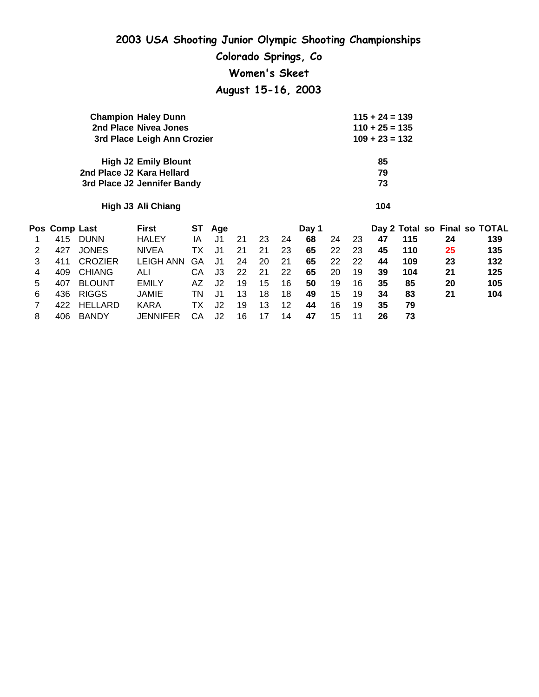## **2003 USA Shooting Junior Olympic Shooting Championships Colorado Springs, Co Women's Skeet**

**August 15-16, 2003**

|   |               |                             | <b>Champion Haley Dunn</b>  |    |                |    |    |    |       |    |    | $115 + 24 = 139$ |     |    |                               |
|---|---------------|-----------------------------|-----------------------------|----|----------------|----|----|----|-------|----|----|------------------|-----|----|-------------------------------|
|   |               |                             | 2nd Place Nivea Jones       |    |                |    |    |    |       |    |    | $110 + 25 = 135$ |     |    |                               |
|   |               |                             | 3rd Place Leigh Ann Crozier |    |                |    |    |    |       |    |    | $109 + 23 = 132$ |     |    |                               |
|   |               |                             | <b>High J2 Emily Blount</b> |    |                |    |    |    |       |    |    | 85               |     |    |                               |
|   |               | 2nd Place J2 Kara Hellard   |                             |    |                |    |    |    |       |    |    | 79               |     |    |                               |
|   |               | 3rd Place J2 Jennifer Bandy |                             |    |                |    |    |    |       |    |    | 73               |     |    |                               |
|   |               |                             | High J3 Ali Chiang          |    |                |    |    |    |       |    |    | 104              |     |    |                               |
|   | Pos Comp Last |                             | First                       | ST | Age            |    |    |    | Day 1 |    |    |                  |     |    | Day 2 Total so Final so TOTAL |
|   | 415           | <b>DUNN</b>                 | <b>HALEY</b>                | ΙA | J <sub>1</sub> | 21 | 23 | 24 | 68    | 24 | 23 | 47               | 115 | 24 | 139                           |
| 2 | 427           | JONES                       | <b>NIVEA</b>                | ТX | J <sub>1</sub> | 21 | 21 | 23 | 65    | 22 | 23 | 45               | 110 | 25 | 135                           |
| 3 | 411           | <b>CROZIER</b>              | <b>LEIGH ANN</b>            | GA | J1             | 24 | 20 | 21 | 65    | 22 | 22 | 44               | 109 | 23 | 132                           |
| 4 | 409           | <b>CHIANG</b>               | ALI                         | CA | J3             | 22 | 21 | 22 | 65    | 20 | 19 | 39               | 104 | 21 | 125                           |
| 5 | 407           | <b>BLOUNT</b>               | <b>EMILY</b>                | AΖ | J <sub>2</sub> | 19 | 15 | 16 | 50    | 19 | 16 | 35               | 85  | 20 | 105                           |
|   |               | <b>RIGGS</b>                |                             |    | J <sub>1</sub> | 13 | 18 | 18 | 49    | 15 | 19 | 34               | 83  | 21 | 104                           |
| 6 | 436           |                             | <b>JAMIE</b>                | ΤN |                |    |    |    |       |    |    |                  |     |    |                               |
| 7 | 422           | <b>HELLARD</b>              | <b>KARA</b>                 | ТX | J2             | 19 | 13 | 12 | 44    | 16 | 19 | 35               | 79  |    |                               |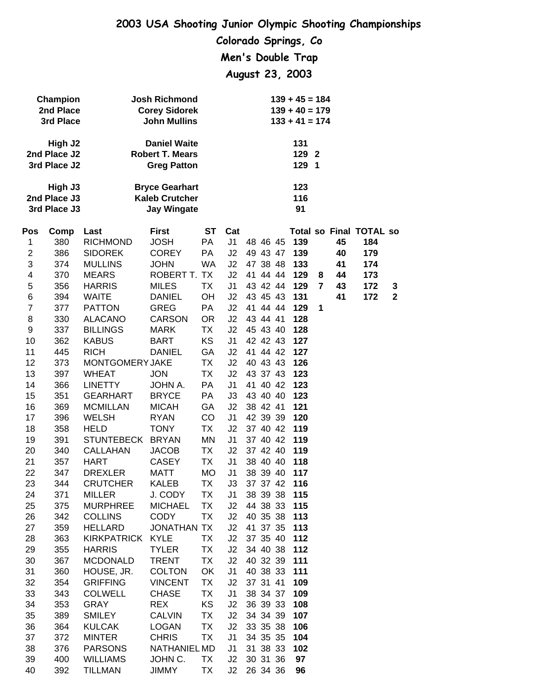**Colorado Springs, Co**

**Men's Double Trap**

**August 23, 2003**

|                | Champion<br>2nd Place<br>3rd Place      | <b>Josh Richmond</b><br><b>Corey Sidorek</b><br><b>John Mullins</b> |                                                                      |           |                |                      | $139 + 45 = 184$<br>$139 + 40 = 179$<br>$133 + 41 = 174$ |        |          |                                |              |
|----------------|-----------------------------------------|---------------------------------------------------------------------|----------------------------------------------------------------------|-----------|----------------|----------------------|----------------------------------------------------------|--------|----------|--------------------------------|--------------|
|                | High J2<br>2nd Place J2<br>3rd Place J2 |                                                                     | <b>Daniel Waite</b><br><b>Robert T. Mears</b><br><b>Greg Patton</b>  |           |                |                      | 131<br>129<br>129 1                                      | -2     |          |                                |              |
|                | High J3<br>2nd Place J3<br>3rd Place J3 |                                                                     | <b>Bryce Gearhart</b><br><b>Kaleb Crutcher</b><br><b>Jay Wingate</b> |           |                |                      | 123<br>116<br>91                                         |        |          |                                |              |
| Pos            | Comp                                    | Last                                                                | <b>First</b>                                                         | <b>ST</b> | Cat            |                      |                                                          |        |          | <b>Total so Final TOTAL so</b> |              |
| 1              | 380                                     | <b>RICHMOND</b>                                                     | <b>JOSH</b>                                                          | PA        | J1             | 48 46 45             | 139                                                      |        | 45       | 184                            |              |
| $\overline{2}$ | 386                                     | <b>SIDOREK</b>                                                      | <b>COREY</b>                                                         | PA        | J2             | 49 43 47             | 139                                                      |        | 40       | 179                            |              |
| 3              | 374                                     | <b>MULLINS</b>                                                      | <b>JOHN</b>                                                          | <b>WA</b> | J2             | 47 38 48             | 133                                                      |        | 41       | 174                            |              |
| 4<br>5         | 370<br>356                              | <b>MEARS</b><br><b>HARRIS</b>                                       | ROBERT T. TX<br><b>MILES</b>                                         | <b>TX</b> | J2<br>J1       | 41 44 44<br>43 42 44 | 129<br>129                                               | 8<br>7 | 44<br>43 | 173<br>172                     | 3            |
| 6              | 394                                     | <b>WAITE</b>                                                        | <b>DANIEL</b>                                                        | OH        | J2             | 43 45 43             | 131                                                      |        | 41       | 172                            | $\mathbf{2}$ |
| $\overline{7}$ | 377                                     | <b>PATTON</b>                                                       | <b>GREG</b>                                                          | PA        | J <sub>2</sub> | 41 44 44             | 129                                                      | 1      |          |                                |              |
| 8              | 330                                     | <b>ALACANO</b>                                                      | <b>CARSON</b>                                                        | <b>OR</b> | J2             | 43 44 41             | 128                                                      |        |          |                                |              |
| 9              | 337                                     | <b>BILLINGS</b>                                                     | <b>MARK</b>                                                          | <b>TX</b> | J <sub>2</sub> | 45 43 40             | 128                                                      |        |          |                                |              |
| 10             | 362                                     | <b>KABUS</b>                                                        | <b>BART</b>                                                          | KS        | J1             | 42 42 43             | 127                                                      |        |          |                                |              |
| 11             | 445                                     | <b>RICH</b>                                                         | <b>DANIEL</b>                                                        | GA        | J2             | 41 44 42             | 127                                                      |        |          |                                |              |
| 12             | 373                                     | MONTGOMERY JAKE                                                     |                                                                      | <b>TX</b> | J <sub>2</sub> | 40 43 43             | 126                                                      |        |          |                                |              |
| 13             | 397                                     | <b>WHEAT</b>                                                        | <b>JON</b>                                                           | <b>TX</b> | J <sub>2</sub> | 43 37 43             | 123                                                      |        |          |                                |              |
| 14             | 366                                     | <b>LINETTY</b>                                                      | JOHN A.                                                              | PA        | J <sub>1</sub> | 41 40 42             | 123                                                      |        |          |                                |              |
| 15             | 351                                     | <b>GEARHART</b>                                                     | <b>BRYCE</b>                                                         | PA        | J3             | 43 40 40             | 123                                                      |        |          |                                |              |
| 16             | 369                                     | <b>MCMILLAN</b>                                                     | <b>MICAH</b>                                                         | GA        | J2             | 38 42 41             | 121                                                      |        |          |                                |              |
| 17             | 396                                     | <b>WELSH</b>                                                        | <b>RYAN</b>                                                          | CO        | J <sub>1</sub> | 42 39 39             | 120                                                      |        |          |                                |              |
| 18             | 358                                     | <b>HELD</b>                                                         | <b>TONY</b>                                                          | <b>TX</b> | J <sub>2</sub> | 37 40 42             | 119                                                      |        |          |                                |              |
| 19             | 391                                     | STUNTEBECK BRYAN                                                    |                                                                      | MN        | J1             | 37 40 42             | 119                                                      |        |          |                                |              |
| 20             | 340                                     | <b>CALLAHAN</b>                                                     | <b>JACOB</b>                                                         | TX        | J <sub>2</sub> | 37 42 40             | 119                                                      |        |          |                                |              |
| 21             | 357                                     | <b>HART</b>                                                         | <b>CASEY</b>                                                         | <b>TX</b> | J1             | 38 40 40             | 118                                                      |        |          |                                |              |
| 22             | 347                                     | <b>DREXLER</b>                                                      | <b>MATT</b>                                                          | <b>MO</b> | J1             | 38 39 40             | 117                                                      |        |          |                                |              |
| 23             | 344                                     | <b>CRUTCHER</b>                                                     | <b>KALEB</b>                                                         | TX        | J3             | 37 37 42             | 116                                                      |        |          |                                |              |
| 24             | 371                                     | <b>MILLER</b>                                                       | J. CODY                                                              | ТX        | J <sub>1</sub> | 38 39 38             | 115                                                      |        |          |                                |              |
| 25             | 375                                     | <b>MURPHREE</b>                                                     | <b>MICHAEL</b>                                                       | <b>TX</b> | J <sub>2</sub> | 44 38 33             | 115                                                      |        |          |                                |              |
| 26<br>27       | 342<br>359                              | <b>COLLINS</b><br><b>HELLARD</b>                                    | <b>CODY</b><br><b>JONATHAN TX</b>                                    | <b>TX</b> | J2<br>J2       | 40 35 38<br>41 37 35 | 113<br>113                                               |        |          |                                |              |
| 28             | 363                                     | <b>KIRKPATRICK</b>                                                  | <b>KYLE</b>                                                          | <b>TX</b> | J2             | 37 35 40             | 112                                                      |        |          |                                |              |
| 29             | 355                                     | <b>HARRIS</b>                                                       | <b>TYLER</b>                                                         | <b>TX</b> | J2             | 34 40 38             | 112                                                      |        |          |                                |              |
| 30             | 367                                     | <b>MCDONALD</b>                                                     | <b>TRENT</b>                                                         | <b>TX</b> | J2             | 40 32 39             | 111                                                      |        |          |                                |              |
| 31             | 360                                     | HOUSE, JR.                                                          | <b>COLTON</b>                                                        | OK        | J <sub>1</sub> | 40 38 33             | 111                                                      |        |          |                                |              |
| 32             | 354                                     | <b>GRIFFING</b>                                                     | <b>VINCENT</b>                                                       | <b>TX</b> | J <sub>2</sub> | 37 31 41             | 109                                                      |        |          |                                |              |
| 33             | 343                                     | <b>COLWELL</b>                                                      | <b>CHASE</b>                                                         | <b>TX</b> | J <sub>1</sub> | 38 34 37             | 109                                                      |        |          |                                |              |
| 34             | 353                                     | <b>GRAY</b>                                                         | <b>REX</b>                                                           | KS        | J2             | 36 39 33             | 108                                                      |        |          |                                |              |
| 35             | 389                                     | <b>SMILEY</b>                                                       | <b>CALVIN</b>                                                        | <b>TX</b> | J2             | 34 34 39             | 107                                                      |        |          |                                |              |
| 36             | 364                                     | <b>KULCAK</b>                                                       | <b>LOGAN</b>                                                         | <b>TX</b> | J2             | 33 35 38             | 106                                                      |        |          |                                |              |
| 37             | 372                                     | <b>MINTER</b>                                                       | <b>CHRIS</b>                                                         | <b>TX</b> | J1             | 34 35 35             | 104                                                      |        |          |                                |              |
| 38             | 376                                     | <b>PARSONS</b>                                                      | NATHANIEL MD                                                         |           | J1             | 31 38 33             | 102                                                      |        |          |                                |              |
| 39             | 400                                     | <b>WILLIAMS</b>                                                     | JOHN C.                                                              | <b>TX</b> | J2             | 30 31 36             | 97                                                       |        |          |                                |              |
| 40             | 392                                     | <b>TILLMAN</b>                                                      | JIMMY                                                                | <b>TX</b> | J2             |                      | 26 34 36 96                                              |        |          |                                |              |